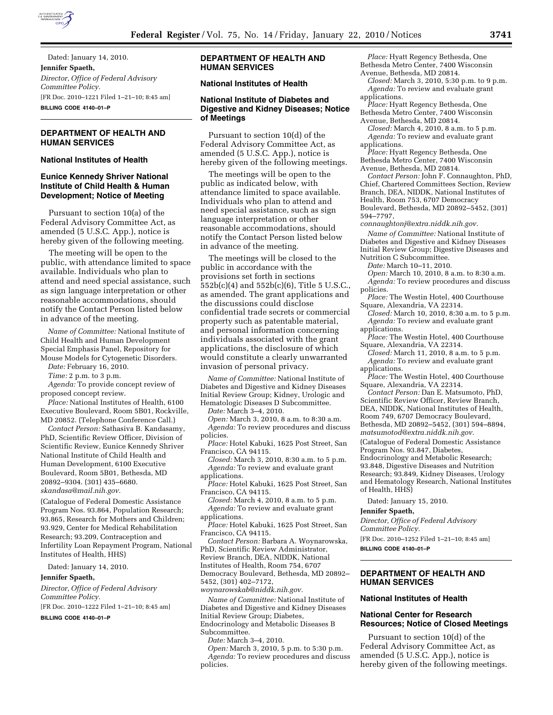

Dated: January 14, 2010. **Jennifer Spaeth,**  *Director, Office of Federal Advisory Committee Policy.*  [FR Doc. 2010–1221 Filed 1–21–10; 8:45 am] **BILLING CODE 4140–01–P** 

# **DEPARTMENT OF HEALTH AND HUMAN SERVICES**

### **National Institutes of Health**

#### **Eunice Kennedy Shriver National Institute of Child Health & Human Development; Notice of Meeting**

Pursuant to section 10(a) of the Federal Advisory Committee Act, as amended (5 U.S.C. App.), notice is hereby given of the following meeting.

The meeting will be open to the public, with attendance limited to space available. Individuals who plan to attend and need special assistance, such as sign language interpretation or other reasonable accommodations, should notify the Contact Person listed below in advance of the meeting.

*Name of Committee:* National Institute of Child Health and Human Development Special Emphasis Panel, Repository for Mouse Models for Cytogenetic Disorders.

*Date:* February 16, 2010. *Time:* 2 p.m. to 3 p.m.

*Agenda:* To provide concept review of proposed concept review.

*Place:* National Institutes of Health, 6100 Executive Boulevard, Room 5B01, Rockville, MD 20852. (Telephone Conference Call.)

*Contact Person:* Sathasiva B. Kandasamy, PhD, Scientific Review Officer, Division of Scientific Review, Eunice Kennedy Shriver National Institute of Child Health and Human Development, 6100 Executive Boulevard, Room 5B01, Bethesda, MD 20892–9304. (301) 435–6680. *skandasa@mail.nih.gov.* 

(Catalogue of Federal Domestic Assistance Program Nos. 93.864, Population Research; 93.865, Research for Mothers and Children; 93.929, Center for Medical Rehabilitation Research; 93.209, Contraception and Infertility Loan Repayment Program, National Institutes of Health, HHS)

Dated: January 14, 2010.

**Jennifer Spaeth,** 

*Director, Office of Federal Advisory Committee Policy.* 

[FR Doc. 2010–1222 Filed 1–21–10; 8:45 am]

**BILLING CODE 4140–01–P** 

### **DEPARTMENT OF HEALTH AND HUMAN SERVICES**

# **National Institutes of Health**

#### **National Institute of Diabetes and Digestive and Kidney Diseases; Notice of Meetings**

Pursuant to section 10(d) of the Federal Advisory Committee Act, as amended (5 U.S.C. App.), notice is hereby given of the following meetings.

The meetings will be open to the public as indicated below, with attendance limited to space available. Individuals who plan to attend and need special assistance, such as sign language interpretation or other reasonable accommodations, should notify the Contact Person listed below in advance of the meeting.

The meetings will be closed to the public in accordance with the provisions set forth in sections 552b(c)(4) and 552b(c)(6), Title 5 U.S.C., as amended. The grant applications and the discussions could disclose confidential trade secrets or commercial property such as patentable material, and personal information concerning individuals associated with the grant applications, the disclosure of which would constitute a clearly unwarranted invasion of personal privacy.

*Name of Committee:* National Institute of Diabetes and Digestive and Kidney Diseases Initial Review Group; Kidney, Urologic and Hematologic Diseases D Subcommittee.

*Date:* March 3–4, 2010.

*Open:* March 3, 2010, 8 a.m. to 8:30 a.m. *Agenda:* To review procedures and discuss policies.

*Place:* Hotel Kabuki, 1625 Post Street, San Francisco, CA 94115.

*Closed:* March 3, 2010, 8:30 a.m. to 5 p.m. *Agenda:* To review and evaluate grant applications.

*Place:* Hotel Kabuki, 1625 Post Street, San Francisco, CA 94115.

*Closed:* March 4, 2010, 8 a.m. to 5 p.m. *Agenda:* To review and evaluate grant applications.

*Place:* Hotel Kabuki, 1625 Post Street, San Francisco, CA 94115.

*Contact Person:* Barbara A. Woynarowska, PhD, Scientific Review Administrator, Review Branch, DEA, NIDDK, National Institutes of Health, Room 754, 6707 Democracy Boulevard, Bethesda, MD 20892– 5452, (301) 402–7172,

*woynarowskab@niddk.nih.gov.* 

*Name of Committee:* National Institute of Diabetes and Digestive and Kidney Diseases Initial Review Group; Diabetes, Endocrinology and Metabolic Diseases B Subcommittee.

*Date:* March 3–4, 2010.

*Open:* March 3, 2010, 5 p.m. to 5:30 p.m. *Agenda:* To review procedures and discuss policies.

*Place:* Hyatt Regency Bethesda, One Bethesda Metro Center, 7400 Wisconsin Avenue, Bethesda, MD 20814.

*Closed:* March 3, 2010, 5:30 p.m. to 9 p.m. *Agenda:* To review and evaluate grant applications.

*Place:* Hyatt Regency Bethesda, One Bethesda Metro Center, 7400 Wisconsin Avenue, Bethesda, MD 20814.

*Closed:* March 4, 2010, 8 a.m. to 5 p.m. *Agenda:* To review and evaluate grant

applications. *Place:* Hyatt Regency Bethesda, One

Bethesda Metro Center, 7400 Wisconsin Avenue, Bethesda, MD 20814.

*Contact Person:* John F. Connaughton, PhD, Chief, Chartered Committees Section, Review Branch, DEA, NIDDK, National Institutes of Health, Room 753, 6707 Democracy Boulevard, Bethesda, MD 20892–5452, (301) 594–7797,

*connaughtonj@extra.niddk.nih.gov.* 

*Name of Committee:* National Institute of Diabetes and Digestive and Kidney Diseases Initial Review Group; Digestive Diseases and Nutrition C Subcommittee.

*Date:* March 10–11, 2010.

*Open:* March 10, 2010, 8 a.m. to 8:30 a.m. *Agenda:* To review procedures and discuss policies.

*Place:* The Westin Hotel, 400 Courthouse Square, Alexandria, VA 22314.

*Closed:* March 10, 2010, 8:30 a.m. to 5 p.m. *Agenda:* To review and evaluate grant applications.

*Place:* The Westin Hotel, 400 Courthouse Square, Alexandria, VA 22314.

*Closed:* March 11, 2010, 8 a.m. to 5 p.m. *Agenda:* To review and evaluate grant

applications.

*Place:* The Westin Hotel, 400 Courthouse Square, Alexandria, VA 22314.

*Contact Person:* Dan E. Matsumoto, PhD, Scientific Review Officer, Review Branch, DEA, NIDDK, National Institutes of Health, Room 749, 6707 Democracy Boulevard, Bethesda, MD 20892–5452, (301) 594–8894, *matsumotod@extra.niddk.nih.gov.* 

(Catalogue of Federal Domestic Assistance Program Nos. 93.847, Diabetes, Endocrinology and Metabolic Research; 93.848, Digestive Diseases and Nutrition Research; 93.849, Kidney Diseases, Urology and Hematology Research, National Institutes of Health, HHS)

Dated: January 15, 2010.

#### **Jennifer Spaeth,**

*Director, Office of Federal Advisory Committee Policy.* 

[FR Doc. 2010–1252 Filed 1–21–10; 8:45 am]

**BILLING CODE 4140–01–P** 

### **DEPARTMENT OF HEALTH AND HUMAN SERVICES**

#### **National Institutes of Health**

#### **National Center for Research Resources; Notice of Closed Meetings**

Pursuant to section 10(d) of the Federal Advisory Committee Act, as amended (5 U.S.C. App.), notice is hereby given of the following meetings.